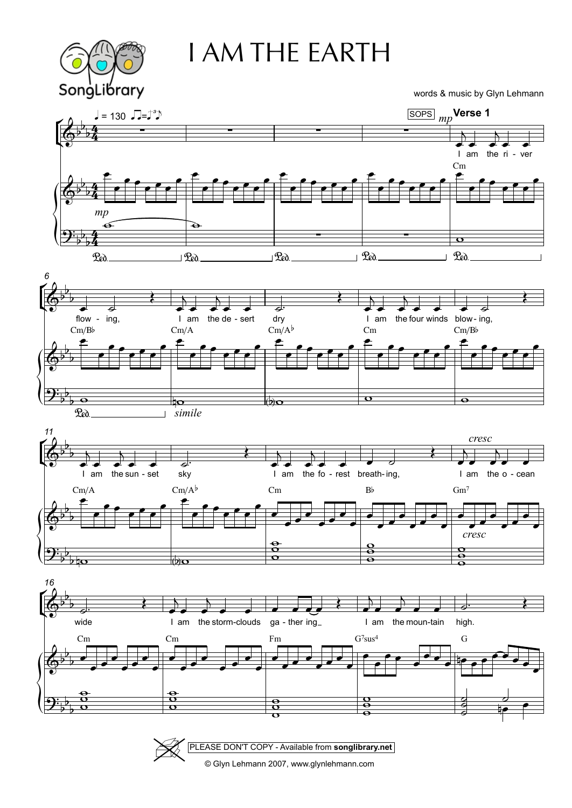

## I AM THE EARTH

words & music by Glyn Lehmann

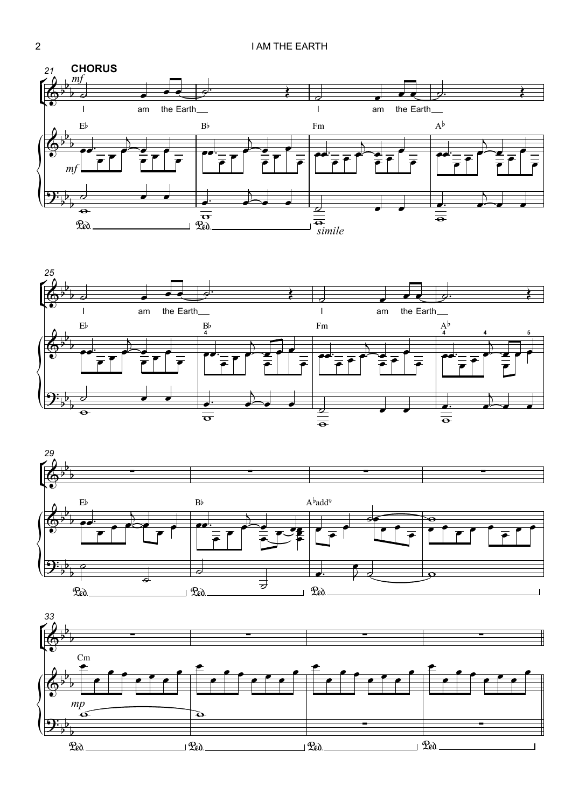





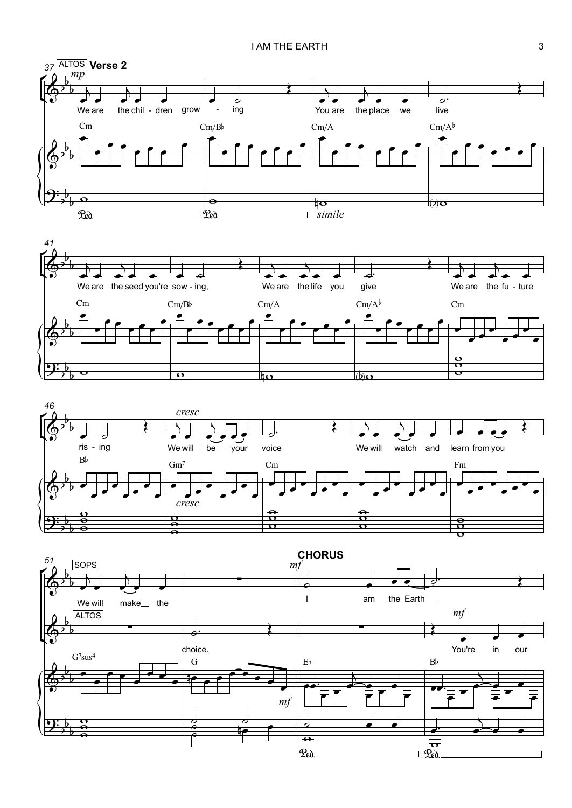





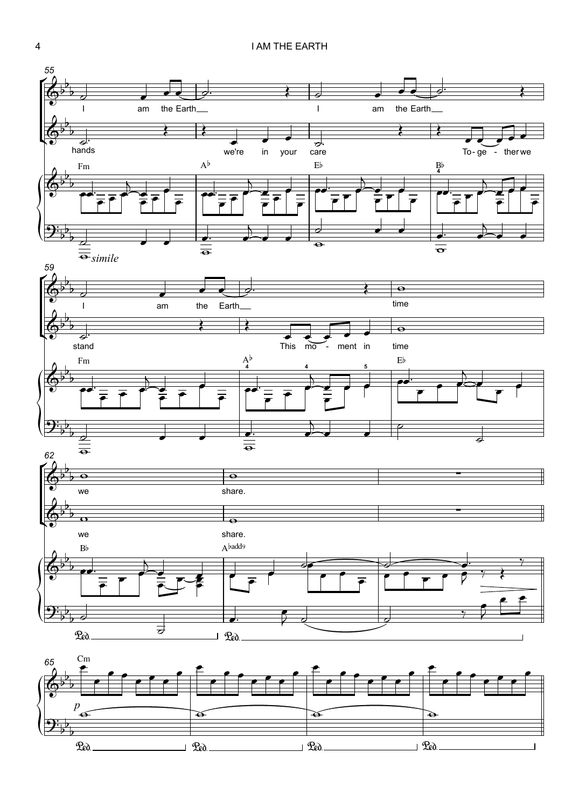

 $\frac{\textbf{a}}{\textbf{b}}$  $b_1$  $\overline{\phantom{0}}$  $\mathfrak{P}_e$ ).  $\mathfrak{P}_e$ ).  $\mathfrak{P}_e$ ).  $\mathfrak{P}_e$ ).  $\mathfrak{P}_e$ ).  $\mathfrak{P}_e$ ).  $\mathfrak{P}_e$ ).  $\mathfrak{P}_e$ ).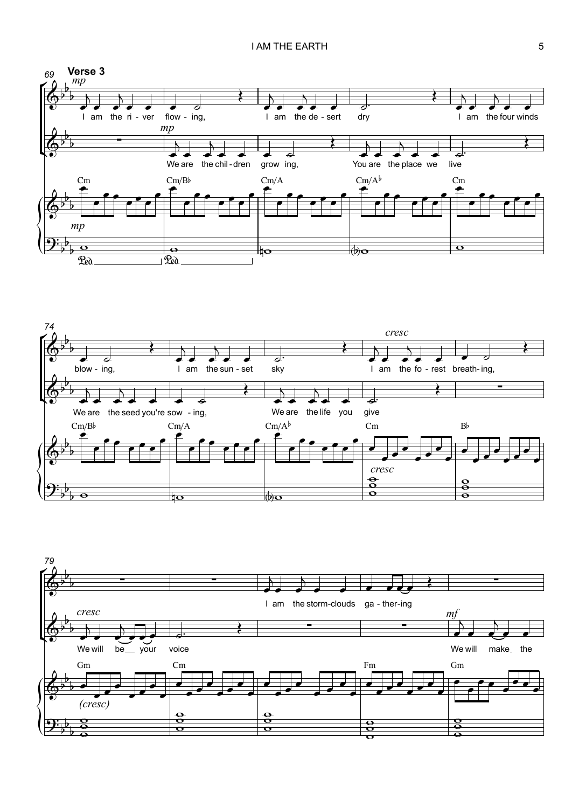



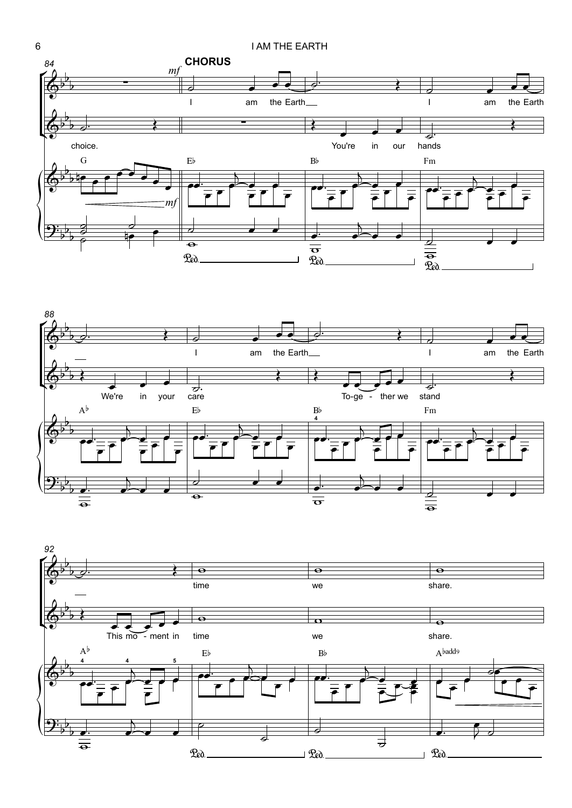





6